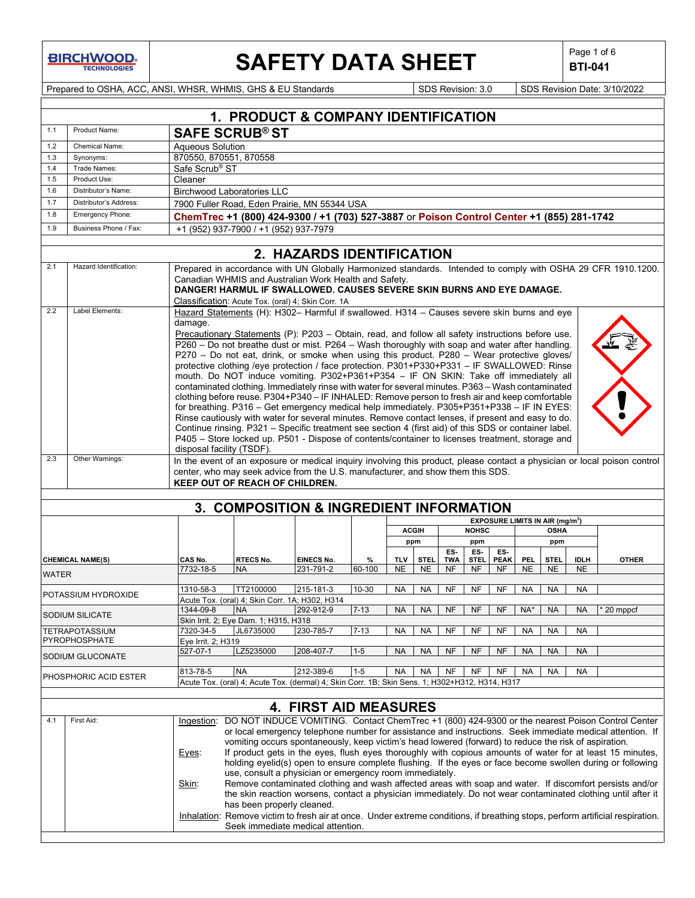**BIRCHWOOD** 

## **SAFETY DATA SHEET**  $\left|\begin{array}{c} \mathsf{Page 1 of 6} \\ \mathsf{BTL041} \end{array}\right|$

**BTI-041**

Prepared to OSHA, ACC, ANSI, WHSR, WHMIS, GHS & EU Standards Superinted SDS Revision: 3.0 SDS Revision Date: 3/10/2022

|              |                           |                                                   | 1. PRODUCT & COMPANY IDENTIFICATION                                                                                                                                                                                                                                                                                                                                                                                                                                                                                                                                                                                                                                                                                                                                                                                                                                                                                                                                                                                                                                                                                                                                                                           |                              |          |            |              |            |              |             |            |                                                  |             |                                                                                                                                                                                                                                                                                                                                                                                                                                                                                                                                                                                                                                                                    |
|--------------|---------------------------|---------------------------------------------------|---------------------------------------------------------------------------------------------------------------------------------------------------------------------------------------------------------------------------------------------------------------------------------------------------------------------------------------------------------------------------------------------------------------------------------------------------------------------------------------------------------------------------------------------------------------------------------------------------------------------------------------------------------------------------------------------------------------------------------------------------------------------------------------------------------------------------------------------------------------------------------------------------------------------------------------------------------------------------------------------------------------------------------------------------------------------------------------------------------------------------------------------------------------------------------------------------------------|------------------------------|----------|------------|--------------|------------|--------------|-------------|------------|--------------------------------------------------|-------------|--------------------------------------------------------------------------------------------------------------------------------------------------------------------------------------------------------------------------------------------------------------------------------------------------------------------------------------------------------------------------------------------------------------------------------------------------------------------------------------------------------------------------------------------------------------------------------------------------------------------------------------------------------------------|
| 1.1          | Product Name:             |                                                   |                                                                                                                                                                                                                                                                                                                                                                                                                                                                                                                                                                                                                                                                                                                                                                                                                                                                                                                                                                                                                                                                                                                                                                                                               |                              |          |            |              |            |              |             |            |                                                  |             |                                                                                                                                                                                                                                                                                                                                                                                                                                                                                                                                                                                                                                                                    |
|              |                           |                                                   | <b>SAFE SCRUB® ST</b>                                                                                                                                                                                                                                                                                                                                                                                                                                                                                                                                                                                                                                                                                                                                                                                                                                                                                                                                                                                                                                                                                                                                                                                         |                              |          |            |              |            |              |             |            |                                                  |             |                                                                                                                                                                                                                                                                                                                                                                                                                                                                                                                                                                                                                                                                    |
| 1.2<br>1.3   | Chemical Name:            | <b>Agueous Solution</b><br>870550, 870551, 870558 |                                                                                                                                                                                                                                                                                                                                                                                                                                                                                                                                                                                                                                                                                                                                                                                                                                                                                                                                                                                                                                                                                                                                                                                                               |                              |          |            |              |            |              |             |            |                                                  |             |                                                                                                                                                                                                                                                                                                                                                                                                                                                                                                                                                                                                                                                                    |
| 1.4          | Synonyms:<br>Trade Names: | Safe Scrub <sup>®</sup> ST                        |                                                                                                                                                                                                                                                                                                                                                                                                                                                                                                                                                                                                                                                                                                                                                                                                                                                                                                                                                                                                                                                                                                                                                                                                               |                              |          |            |              |            |              |             |            |                                                  |             |                                                                                                                                                                                                                                                                                                                                                                                                                                                                                                                                                                                                                                                                    |
| 1.5          | Product Use:              | Cleaner                                           |                                                                                                                                                                                                                                                                                                                                                                                                                                                                                                                                                                                                                                                                                                                                                                                                                                                                                                                                                                                                                                                                                                                                                                                                               |                              |          |            |              |            |              |             |            |                                                  |             |                                                                                                                                                                                                                                                                                                                                                                                                                                                                                                                                                                                                                                                                    |
| 1.6          | Distributor's Name:       |                                                   | <b>Birchwood Laboratories LLC</b>                                                                                                                                                                                                                                                                                                                                                                                                                                                                                                                                                                                                                                                                                                                                                                                                                                                                                                                                                                                                                                                                                                                                                                             |                              |          |            |              |            |              |             |            |                                                  |             |                                                                                                                                                                                                                                                                                                                                                                                                                                                                                                                                                                                                                                                                    |
| 1.7          | Distributor's Address:    |                                                   | 7900 Fuller Road, Eden Prairie, MN 55344 USA                                                                                                                                                                                                                                                                                                                                                                                                                                                                                                                                                                                                                                                                                                                                                                                                                                                                                                                                                                                                                                                                                                                                                                  |                              |          |            |              |            |              |             |            |                                                  |             |                                                                                                                                                                                                                                                                                                                                                                                                                                                                                                                                                                                                                                                                    |
| 1.8          | Emergency Phone:          |                                                   | ChemTrec +1 (800) 424-9300 / +1 (703) 527-3887 or Poison Control Center +1 (855) 281-1742                                                                                                                                                                                                                                                                                                                                                                                                                                                                                                                                                                                                                                                                                                                                                                                                                                                                                                                                                                                                                                                                                                                     |                              |          |            |              |            |              |             |            |                                                  |             |                                                                                                                                                                                                                                                                                                                                                                                                                                                                                                                                                                                                                                                                    |
| 1.9          | Business Phone / Fax:     |                                                   | +1 (952) 937-7900 / +1 (952) 937-7979                                                                                                                                                                                                                                                                                                                                                                                                                                                                                                                                                                                                                                                                                                                                                                                                                                                                                                                                                                                                                                                                                                                                                                         |                              |          |            |              |            |              |             |            |                                                  |             |                                                                                                                                                                                                                                                                                                                                                                                                                                                                                                                                                                                                                                                                    |
|              |                           |                                                   |                                                                                                                                                                                                                                                                                                                                                                                                                                                                                                                                                                                                                                                                                                                                                                                                                                                                                                                                                                                                                                                                                                                                                                                                               |                              |          |            |              |            |              |             |            |                                                  |             |                                                                                                                                                                                                                                                                                                                                                                                                                                                                                                                                                                                                                                                                    |
|              |                           |                                                   |                                                                                                                                                                                                                                                                                                                                                                                                                                                                                                                                                                                                                                                                                                                                                                                                                                                                                                                                                                                                                                                                                                                                                                                                               | 2. HAZARDS IDENTIFICATION    |          |            |              |            |              |             |            |                                                  |             |                                                                                                                                                                                                                                                                                                                                                                                                                                                                                                                                                                                                                                                                    |
| 2.1          | Hazard Identification:    |                                                   | Canadian WHMIS and Australian Work Health and Safety.<br>DANGER! HARMUL IF SWALLOWED. CAUSES SEVERE SKIN BURNS AND EYE DAMAGE.<br>Classification: Acute Tox. (oral) 4; Skin Corr. 1A                                                                                                                                                                                                                                                                                                                                                                                                                                                                                                                                                                                                                                                                                                                                                                                                                                                                                                                                                                                                                          |                              |          |            |              |            |              |             |            |                                                  |             | Prepared in accordance with UN Globally Harmonized standards. Intended to comply with OSHA 29 CFR 1910.1200.                                                                                                                                                                                                                                                                                                                                                                                                                                                                                                                                                       |
| 2.2          | Label Elements:           | damage.<br>disposal facility (TSDF).              | Hazard Statements (H): H302- Harmful if swallowed. H314 - Causes severe skin burns and eye<br>Precautionary Statements (P): P203 - Obtain, read, and follow all safety instructions before use.<br>P260 – Do not breathe dust or mist. P264 – Wash thoroughly with soap and water after handling.<br>P270 - Do not eat, drink, or smoke when using this product. P280 - Wear protective gloves/<br>protective clothing /eye protection / face protection. P301+P330+P331 - IF SWALLOWED: Rinse<br>mouth. Do NOT induce vomiting. P302+P361+P354 - IF ON SKIN: Take off immediately all<br>contaminated clothing. Immediately rinse with water for several minutes. P363 - Wash contaminated<br>clothing before reuse. P304+P340 - IF INHALED: Remove person to fresh air and keep comfortable<br>for breathing. P316 - Get emergency medical help immediately. P305+P351+P338 - IF IN EYES:<br>Rinse cautiously with water for several minutes. Remove contact lenses, if present and easy to do.<br>Continue rinsing. P321 – Specific treatment see section 4 (first aid) of this SDS or container label.<br>P405 - Store locked up. P501 - Dispose of contents/container to licenses treatment, storage and |                              |          |            |              |            |              |             |            |                                                  |             |                                                                                                                                                                                                                                                                                                                                                                                                                                                                                                                                                                                                                                                                    |
| 2.3          | Other Warnings:           |                                                   |                                                                                                                                                                                                                                                                                                                                                                                                                                                                                                                                                                                                                                                                                                                                                                                                                                                                                                                                                                                                                                                                                                                                                                                                               |                              |          |            |              |            |              |             |            |                                                  |             | In the event of an exposure or medical inquiry involving this product, please contact a physician or local poison control                                                                                                                                                                                                                                                                                                                                                                                                                                                                                                                                          |
|              |                           |                                                   | center, who may seek advice from the U.S. manufacturer, and show them this SDS.<br>KEEP OUT OF REACH OF CHILDREN.                                                                                                                                                                                                                                                                                                                                                                                                                                                                                                                                                                                                                                                                                                                                                                                                                                                                                                                                                                                                                                                                                             |                              |          |            |              |            |              |             |            |                                                  |             |                                                                                                                                                                                                                                                                                                                                                                                                                                                                                                                                                                                                                                                                    |
|              |                           |                                                   | 3. COMPOSITION & INGREDIENT INFORMATION                                                                                                                                                                                                                                                                                                                                                                                                                                                                                                                                                                                                                                                                                                                                                                                                                                                                                                                                                                                                                                                                                                                                                                       |                              |          |            |              |            |              |             |            |                                                  |             |                                                                                                                                                                                                                                                                                                                                                                                                                                                                                                                                                                                                                                                                    |
|              |                           |                                                   |                                                                                                                                                                                                                                                                                                                                                                                                                                                                                                                                                                                                                                                                                                                                                                                                                                                                                                                                                                                                                                                                                                                                                                                                               |                              |          |            |              |            |              |             |            | <b>EXPOSURE LIMITS IN AIR (mg/m<sup>3</sup>)</b> |             |                                                                                                                                                                                                                                                                                                                                                                                                                                                                                                                                                                                                                                                                    |
|              |                           |                                                   |                                                                                                                                                                                                                                                                                                                                                                                                                                                                                                                                                                                                                                                                                                                                                                                                                                                                                                                                                                                                                                                                                                                                                                                                               |                              |          |            | <b>ACGIH</b> |            | <b>NOHSC</b> |             |            | <b>OSHA</b>                                      |             |                                                                                                                                                                                                                                                                                                                                                                                                                                                                                                                                                                                                                                                                    |
|              |                           |                                                   |                                                                                                                                                                                                                                                                                                                                                                                                                                                                                                                                                                                                                                                                                                                                                                                                                                                                                                                                                                                                                                                                                                                                                                                                               |                              |          |            | ppm          | ES.        | ppm<br>ES-   | ES-         |            | ppm                                              |             |                                                                                                                                                                                                                                                                                                                                                                                                                                                                                                                                                                                                                                                                    |
|              | <b>CHEMICAL NAME(S)</b>   | CAS No.                                           | <b>RTECS No.</b>                                                                                                                                                                                                                                                                                                                                                                                                                                                                                                                                                                                                                                                                                                                                                                                                                                                                                                                                                                                                                                                                                                                                                                                              | <b>EINECS No.</b>            | %        | <b>TLV</b> | <b>STEL</b>  | <b>TWA</b> | <b>STEL</b>  | <b>PEAK</b> | <b>PEL</b> | <b>STEL</b>                                      | <b>IDLH</b> | <b>OTHER</b>                                                                                                                                                                                                                                                                                                                                                                                                                                                                                                                                                                                                                                                       |
| <b>WATER</b> |                           | 7732-18-5                                         | <b>NA</b>                                                                                                                                                                                                                                                                                                                                                                                                                                                                                                                                                                                                                                                                                                                                                                                                                                                                                                                                                                                                                                                                                                                                                                                                     | 231-791-2                    | 60-100   | <b>NE</b>  | <b>NE</b>    | NF         | <b>NF</b>    | <b>NF</b>   | <b>NE</b>  | <b>NE</b>                                        | <b>NE</b>   |                                                                                                                                                                                                                                                                                                                                                                                                                                                                                                                                                                                                                                                                    |
|              |                           |                                                   |                                                                                                                                                                                                                                                                                                                                                                                                                                                                                                                                                                                                                                                                                                                                                                                                                                                                                                                                                                                                                                                                                                                                                                                                               |                              |          |            |              |            |              |             |            |                                                  |             |                                                                                                                                                                                                                                                                                                                                                                                                                                                                                                                                                                                                                                                                    |
|              | POTASSIUM HYDROXIDE       | 1310-58-3                                         | TT2100000<br>Acute Tox. (oral) 4; Skin Corr. 1A; H302, H314                                                                                                                                                                                                                                                                                                                                                                                                                                                                                                                                                                                                                                                                                                                                                                                                                                                                                                                                                                                                                                                                                                                                                   | 215-181-3                    | 10-30    | NA         | <b>NA</b>    | <b>NF</b>  | <b>NF</b>    | <b>NF</b>   | <b>NA</b>  | <b>NA</b>                                        | <b>NA</b>   |                                                                                                                                                                                                                                                                                                                                                                                                                                                                                                                                                                                                                                                                    |
|              |                           | 1344-09-8                                         | <b>NA</b>                                                                                                                                                                                                                                                                                                                                                                                                                                                                                                                                                                                                                                                                                                                                                                                                                                                                                                                                                                                                                                                                                                                                                                                                     | 292-912-9                    | $7 - 13$ | <b>NA</b>  | <b>NA</b>    | <b>NF</b>  | <b>NF</b>    | <b>NF</b>   | NA*        | <b>NA</b>                                        | <b>NA</b>   | $*$ 20 mppcf                                                                                                                                                                                                                                                                                                                                                                                                                                                                                                                                                                                                                                                       |
|              | SODIUM SILICATE           |                                                   | Skin Irrit. 2; Eye Dam. 1; H315, H318                                                                                                                                                                                                                                                                                                                                                                                                                                                                                                                                                                                                                                                                                                                                                                                                                                                                                                                                                                                                                                                                                                                                                                         |                              |          |            |              |            |              |             |            |                                                  |             |                                                                                                                                                                                                                                                                                                                                                                                                                                                                                                                                                                                                                                                                    |
|              | TETRAPOTASSIUM            | 7320-34-5                                         | JL6735000                                                                                                                                                                                                                                                                                                                                                                                                                                                                                                                                                                                                                                                                                                                                                                                                                                                                                                                                                                                                                                                                                                                                                                                                     | 230-785-7                    | $7 - 13$ | <b>NA</b>  | NA           | NF         | NF           | NF          | NA         | <b>NA</b>                                        | <b>NA</b>   |                                                                                                                                                                                                                                                                                                                                                                                                                                                                                                                                                                                                                                                                    |
|              | PYROPHOSPHATE             | Eye Irrit. 2; H319                                |                                                                                                                                                                                                                                                                                                                                                                                                                                                                                                                                                                                                                                                                                                                                                                                                                                                                                                                                                                                                                                                                                                                                                                                                               |                              |          |            |              |            |              |             |            |                                                  |             |                                                                                                                                                                                                                                                                                                                                                                                                                                                                                                                                                                                                                                                                    |
|              | SODIUM GLUCONATE          | 527-07-1                                          | LZ5235000                                                                                                                                                                                                                                                                                                                                                                                                                                                                                                                                                                                                                                                                                                                                                                                                                                                                                                                                                                                                                                                                                                                                                                                                     | 208-407-7                    | $1 - 5$  | <b>NA</b>  | <b>NA</b>    | <b>NF</b>  | <b>NF</b>    | <b>NF</b>   | <b>NA</b>  | <b>NA</b>                                        | <b>NA</b>   |                                                                                                                                                                                                                                                                                                                                                                                                                                                                                                                                                                                                                                                                    |
|              |                           | 813-78-5                                          | <b>NA</b>                                                                                                                                                                                                                                                                                                                                                                                                                                                                                                                                                                                                                                                                                                                                                                                                                                                                                                                                                                                                                                                                                                                                                                                                     | 212-389-6                    | $1 - 5$  | <b>NA</b>  | <b>NA</b>    | <b>NF</b>  | <b>NF</b>    | NF          | <b>NA</b>  | <b>NA</b>                                        | <b>NA</b>   |                                                                                                                                                                                                                                                                                                                                                                                                                                                                                                                                                                                                                                                                    |
|              | PHOSPHORIC ACID ESTER     |                                                   | Acute Tox. (oral) 4; Acute Tox. (dermal) 4; Skin Corr. 1B; Skin Sens. 1; H302+H312, H314, H317                                                                                                                                                                                                                                                                                                                                                                                                                                                                                                                                                                                                                                                                                                                                                                                                                                                                                                                                                                                                                                                                                                                |                              |          |            |              |            |              |             |            |                                                  |             |                                                                                                                                                                                                                                                                                                                                                                                                                                                                                                                                                                                                                                                                    |
|              |                           |                                                   |                                                                                                                                                                                                                                                                                                                                                                                                                                                                                                                                                                                                                                                                                                                                                                                                                                                                                                                                                                                                                                                                                                                                                                                                               |                              |          |            |              |            |              |             |            |                                                  |             |                                                                                                                                                                                                                                                                                                                                                                                                                                                                                                                                                                                                                                                                    |
|              |                           |                                                   |                                                                                                                                                                                                                                                                                                                                                                                                                                                                                                                                                                                                                                                                                                                                                                                                                                                                                                                                                                                                                                                                                                                                                                                                               | <b>4. FIRST AID MEASURES</b> |          |            |              |            |              |             |            |                                                  |             |                                                                                                                                                                                                                                                                                                                                                                                                                                                                                                                                                                                                                                                                    |
| 4.1          | First Aid:                | Ingestion:<br>Eyes:<br>Skin:                      | vomiting occurs spontaneously, keep victim's head lowered (forward) to reduce the risk of aspiration.<br>use, consult a physician or emergency room immediately.<br>has been properly cleaned.                                                                                                                                                                                                                                                                                                                                                                                                                                                                                                                                                                                                                                                                                                                                                                                                                                                                                                                                                                                                                |                              |          |            |              |            |              |             |            |                                                  |             | DO NOT INDUCE VOMITING. Contact ChemTrec +1 (800) 424-9300 or the nearest Poison Control Center<br>or local emergency telephone number for assistance and instructions. Seek immediate medical attention. If<br>If product gets in the eyes, flush eyes thoroughly with copious amounts of water for at least 15 minutes,<br>holding eyelid(s) open to ensure complete flushing. If the eyes or face become swollen during or following<br>Remove contaminated clothing and wash affected areas with soap and water. If discomfort persists and/or<br>the skin reaction worsens, contact a physician immediately. Do not wear contaminated clothing until after it |
|              |                           |                                                   | Seek immediate medical attention.                                                                                                                                                                                                                                                                                                                                                                                                                                                                                                                                                                                                                                                                                                                                                                                                                                                                                                                                                                                                                                                                                                                                                                             |                              |          |            |              |            |              |             |            |                                                  |             | Inhalation: Remove victim to fresh air at once. Under extreme conditions, if breathing stops, perform artificial respiration.                                                                                                                                                                                                                                                                                                                                                                                                                                                                                                                                      |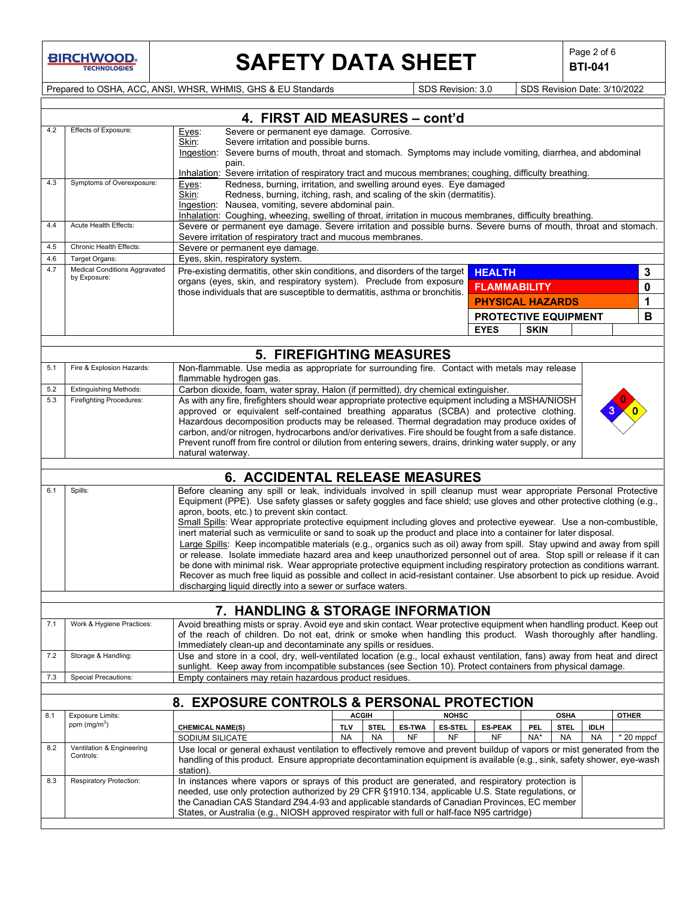**BIRCHWOOD** 

# **SAFETY DATA SHEET**  $\left|\begin{array}{c} \text{Page 2 of 6} \\ \text{BTI-041} \end{array}\right|$

**BTI-041**

Prepared to OSHA, ACC, ANSI, WHSR, WHMIS, GHS & EU Standards Superiority SDS Revision: 3.0 SDS Revision Date: 3/10/2022

|            | 4. FIRST AID MEASURES - cont'd                                   |                                                                                                                                                                                                                                                                                                  |                                                     |  |  |
|------------|------------------------------------------------------------------|--------------------------------------------------------------------------------------------------------------------------------------------------------------------------------------------------------------------------------------------------------------------------------------------------|-----------------------------------------------------|--|--|
| 4.2        | Effects of Exposure:                                             | Severe or permanent eye damage. Corrosive.<br>Eyes:<br>Severe irritation and possible burns.<br>Skin:                                                                                                                                                                                            |                                                     |  |  |
|            |                                                                  | Ingestion: Severe burns of mouth, throat and stomach. Symptoms may include vomiting, diarrhea, and abdominal                                                                                                                                                                                     |                                                     |  |  |
|            |                                                                  | pain.<br>Inhalation: Severe irritation of respiratory tract and mucous membranes; coughing, difficulty breathing.                                                                                                                                                                                |                                                     |  |  |
| 4.3        | Symptoms of Overexposure:                                        | Redness, burning, irritation, and swelling around eyes. Eye damaged<br>Eyes:                                                                                                                                                                                                                     |                                                     |  |  |
|            |                                                                  | Skin:<br>Redness, burning, itching, rash, and scaling of the skin (dermatitis).                                                                                                                                                                                                                  |                                                     |  |  |
|            |                                                                  | Ingestion: Nausea, vomiting, severe abdominal pain.<br>Inhalation: Coughing, wheezing, swelling of throat, irritation in mucous membranes, difficulty breathing.                                                                                                                                 |                                                     |  |  |
| 4.4        | Acute Health Effects:                                            | Severe or permanent eye damage. Severe irritation and possible burns. Severe burns of mouth, throat and stomach.                                                                                                                                                                                 |                                                     |  |  |
| 4.5        | Chronic Health Effects:                                          | Severe irritation of respiratory tract and mucous membranes.<br>Severe or permanent eye damage.                                                                                                                                                                                                  |                                                     |  |  |
| 4.6        | Target Organs:                                                   | Eyes, skin, respiratory system.                                                                                                                                                                                                                                                                  |                                                     |  |  |
| 4.7        | <b>Medical Conditions Aggravated</b><br>by Exposure:             | Pre-existing dermatitis, other skin conditions, and disorders of the target                                                                                                                                                                                                                      | <b>HEALTH</b><br>3                                  |  |  |
|            |                                                                  | organs (eyes, skin, and respiratory system). Preclude from exposure<br>those individuals that are susceptible to dermatitis, asthma or bronchitis.                                                                                                                                               | 0<br><b>FLAMMABILITY</b>                            |  |  |
|            |                                                                  |                                                                                                                                                                                                                                                                                                  | <b>PHYSICAL HAZARDS</b><br>1                        |  |  |
|            |                                                                  |                                                                                                                                                                                                                                                                                                  | <b>PROTECTIVE EQUIPMENT</b><br>В                    |  |  |
|            |                                                                  |                                                                                                                                                                                                                                                                                                  | <b>EYES</b><br><b>SKIN</b>                          |  |  |
|            |                                                                  | <b>5. FIREFIGHTING MEASURES</b>                                                                                                                                                                                                                                                                  |                                                     |  |  |
| 5.1        | Fire & Explosion Hazards:                                        | Non-flammable. Use media as appropriate for surrounding fire. Contact with metals may release                                                                                                                                                                                                    |                                                     |  |  |
|            |                                                                  | flammable hydrogen gas.                                                                                                                                                                                                                                                                          |                                                     |  |  |
| 5.2<br>5.3 | <b>Extinguishing Methods:</b><br><b>Firefighting Procedures:</b> | Carbon dioxide, foam, water spray, Halon (if permitted), dry chemical extinguisher.<br>As with any fire, firefighters should wear appropriate protective equipment including a MSHA/NIOSH                                                                                                        |                                                     |  |  |
|            |                                                                  | approved or equivalent self-contained breathing apparatus (SCBA) and protective clothing.                                                                                                                                                                                                        |                                                     |  |  |
|            |                                                                  | Hazardous decomposition products may be released. Thermal degradation may produce oxides of                                                                                                                                                                                                      |                                                     |  |  |
|            |                                                                  | carbon, and/or nitrogen, hydrocarbons and/or derivatives. Fire should be fought from a safe distance.<br>Prevent runoff from fire control or dilution from entering sewers, drains, drinking water supply, or any                                                                                |                                                     |  |  |
|            |                                                                  | natural waterway.                                                                                                                                                                                                                                                                                |                                                     |  |  |
|            |                                                                  | <b>6. ACCIDENTAL RELEASE MEASURES</b>                                                                                                                                                                                                                                                            |                                                     |  |  |
| 6.1        | Spills:                                                          | Before cleaning any spill or leak, individuals involved in spill cleanup must wear appropriate Personal Protective                                                                                                                                                                               |                                                     |  |  |
|            |                                                                  | Equipment (PPE). Use safety glasses or safety goggles and face shield; use gloves and other protective clothing (e.g.,                                                                                                                                                                           |                                                     |  |  |
|            |                                                                  | apron, boots, etc.) to prevent skin contact.<br>Small Spills: Wear appropriate protective equipment including gloves and protective eyewear. Use a non-combustible,                                                                                                                              |                                                     |  |  |
|            |                                                                  | inert material such as vermiculite or sand to soak up the product and place into a container for later disposal.                                                                                                                                                                                 |                                                     |  |  |
|            |                                                                  | Large Spills: Keep incompatible materials (e.g., organics such as oil) away from spill. Stay upwind and away from spill                                                                                                                                                                          |                                                     |  |  |
|            |                                                                  | or release. Isolate immediate hazard area and keep unauthorized personnel out of area. Stop spill or release if it can<br>be done with minimal risk. Wear appropriate protective equipment including respiratory protection as conditions warrant.                                               |                                                     |  |  |
|            |                                                                  | Recover as much free liquid as possible and collect in acid-resistant container. Use absorbent to pick up residue. Avoid                                                                                                                                                                         |                                                     |  |  |
|            |                                                                  | discharging liquid directly into a sewer or surface waters.                                                                                                                                                                                                                                      |                                                     |  |  |
|            |                                                                  | 7. HANDLING & STORAGE INFORMATION                                                                                                                                                                                                                                                                |                                                     |  |  |
| 7.1        | Work & Hygiene Practices:                                        | Avoid breathing mists or spray. Avoid eye and skin contact. Wear protective equipment when handling product. Keep out                                                                                                                                                                            |                                                     |  |  |
|            |                                                                  | of the reach of children. Do not eat, drink or smoke when handling this product. Wash thoroughly after handling.                                                                                                                                                                                 |                                                     |  |  |
| 7.2        | Storage & Handling:                                              | Immediately clean-up and decontaminate any spills or residues.<br>Use and store in a cool, dry, well-ventilated location (e.g., local exhaust ventilation, fans) away from heat and direct                                                                                                       |                                                     |  |  |
|            |                                                                  | sunlight. Keep away from incompatible substances (see Section 10). Protect containers from physical damage.                                                                                                                                                                                      |                                                     |  |  |
| 7.3        | Special Precautions:                                             | Empty containers may retain hazardous product residues.                                                                                                                                                                                                                                          |                                                     |  |  |
|            |                                                                  | 8. EXPOSURE CONTROLS & PERSONAL PROTECTION                                                                                                                                                                                                                                                       |                                                     |  |  |
| 8.1        | <b>Exposure Limits:</b>                                          | <b>ACGIH</b><br><b>NOHSC</b>                                                                                                                                                                                                                                                                     | OSHA<br><b>OTHER</b>                                |  |  |
|            | ppm $(mg/m3)$                                                    | <b>STEL</b><br><b>TLV</b><br><b>ES-TWA</b><br><b>ES-STEL</b><br><b>CHEMICAL NAME(S)</b>                                                                                                                                                                                                          | <b>ES-PEAK</b><br><b>STEL</b><br><b>IDLH</b><br>PEL |  |  |
| 8.2        | Ventilation & Engineering                                        | <b>NA</b><br><b>NA</b><br><b>NF</b><br><b>NF</b><br>SODIUM SILICATE                                                                                                                                                                                                                              | NF<br>NA*<br>$*$ 20 mppcf<br><b>NA</b><br><b>NA</b> |  |  |
|            |                                                                  | Use local or general exhaust ventilation to effectively remove and prevent buildup of vapors or mist generated from the                                                                                                                                                                          |                                                     |  |  |
|            | Controls:                                                        | handling of this product. Ensure appropriate decontamination equipment is available (e.g., sink, safety shower, eye-wash                                                                                                                                                                         |                                                     |  |  |
|            |                                                                  | station).                                                                                                                                                                                                                                                                                        |                                                     |  |  |
| 8.3        | <b>Respiratory Protection:</b>                                   | In instances where vapors or sprays of this product are generated, and respiratory protection is                                                                                                                                                                                                 |                                                     |  |  |
|            |                                                                  | needed, use only protection authorized by 29 CFR §1910.134, applicable U.S. State regulations, or<br>the Canadian CAS Standard Z94.4-93 and applicable standards of Canadian Provinces, EC member<br>States, or Australia (e.g., NIOSH approved respirator with full or half-face N95 cartridge) |                                                     |  |  |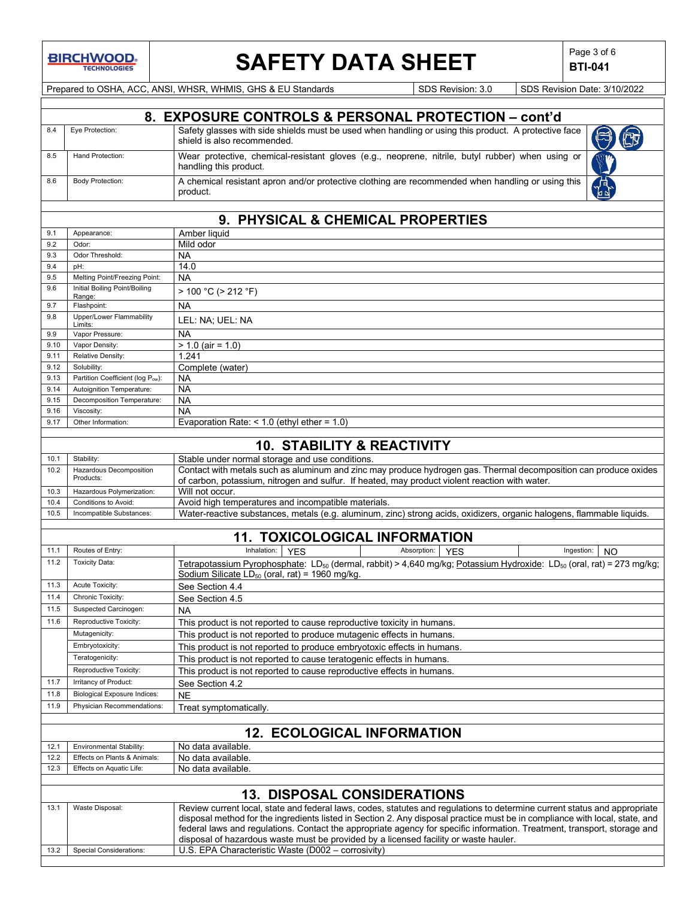

## SAFETY DATA SHEET **Page 3 of 6** Page 3 of 6

**BTI-041**

Prepared to OSHA, ACC, ANSI, WHSR, WHMIS, GHS & EU Standards SDS Revision: 3.0 SDS Revision Date: 3/10/2022

|              |                                           | 8. EXPOSURE CONTROLS & PERSONAL PROTECTION - cont'd                                                                                                                                                                                                                                                                                                                                  |  |  |
|--------------|-------------------------------------------|--------------------------------------------------------------------------------------------------------------------------------------------------------------------------------------------------------------------------------------------------------------------------------------------------------------------------------------------------------------------------------------|--|--|
| 8.4          | Eye Protection:                           | Safety glasses with side shields must be used when handling or using this product. A protective face<br>shield is also recommended.                                                                                                                                                                                                                                                  |  |  |
| 8.5          | Hand Protection:                          | Wear protective, chemical-resistant gloves (e.g., neoprene, nitrile, butyl rubber) when using or<br>handling this product.                                                                                                                                                                                                                                                           |  |  |
| 8.6          | <b>Body Protection:</b>                   | A chemical resistant apron and/or protective clothing are recommended when handling or using this<br>product.                                                                                                                                                                                                                                                                        |  |  |
|              |                                           |                                                                                                                                                                                                                                                                                                                                                                                      |  |  |
|              |                                           | 9. PHYSICAL & CHEMICAL PROPERTIES                                                                                                                                                                                                                                                                                                                                                    |  |  |
| 9.1          | Appearance:                               | Amber liquid                                                                                                                                                                                                                                                                                                                                                                         |  |  |
| 9.2          | Odor:                                     | Mild odor                                                                                                                                                                                                                                                                                                                                                                            |  |  |
| 9.3          | Odor Threshold:                           | NА                                                                                                                                                                                                                                                                                                                                                                                   |  |  |
| 9.4          | pH:                                       | 14.0                                                                                                                                                                                                                                                                                                                                                                                 |  |  |
| 9.5          | Melting Point/Freezing Point:             | <b>NA</b>                                                                                                                                                                                                                                                                                                                                                                            |  |  |
| 9.6          | Initial Boiling Point/Boiling<br>Range:   | > 100 °C (> 212 °F)                                                                                                                                                                                                                                                                                                                                                                  |  |  |
| 9.7          | Flashpoint:                               | <b>NA</b>                                                                                                                                                                                                                                                                                                                                                                            |  |  |
| 9.8          | Upper/Lower Flammability                  | LEL: NA; UEL: NA                                                                                                                                                                                                                                                                                                                                                                     |  |  |
| 9.9          | Limits:<br>Vapor Pressure:                | <b>NA</b>                                                                                                                                                                                                                                                                                                                                                                            |  |  |
| 9.10         | Vapor Density:                            | $> 1.0$ (air = 1.0)                                                                                                                                                                                                                                                                                                                                                                  |  |  |
| 9.11         | Relative Density:                         | 1.241                                                                                                                                                                                                                                                                                                                                                                                |  |  |
| 9.12         | Solubility:                               | Complete (water)                                                                                                                                                                                                                                                                                                                                                                     |  |  |
| 9.13         | Partition Coefficient (log Pow):          | <b>NA</b>                                                                                                                                                                                                                                                                                                                                                                            |  |  |
| 9.14         | Autoignition Temperature:                 | <b>NA</b>                                                                                                                                                                                                                                                                                                                                                                            |  |  |
| 9.15         | Decomposition Temperature:                | <b>NA</b>                                                                                                                                                                                                                                                                                                                                                                            |  |  |
| 9.16         | Viscosity:                                | NA                                                                                                                                                                                                                                                                                                                                                                                   |  |  |
| 9.17         | Other Information:                        | Evaporation Rate: $<$ 1.0 (ethyl ether = 1.0)                                                                                                                                                                                                                                                                                                                                        |  |  |
|              |                                           | <b>10. STABILITY &amp; REACTIVITY</b>                                                                                                                                                                                                                                                                                                                                                |  |  |
|              |                                           |                                                                                                                                                                                                                                                                                                                                                                                      |  |  |
| 10.1<br>10.2 | Stability:<br>Hazardous Decomposition     | Stable under normal storage and use conditions.<br>Contact with metals such as aluminum and zinc may produce hydrogen gas. Thermal decomposition can produce oxides                                                                                                                                                                                                                  |  |  |
|              | Products:                                 | of carbon, potassium, nitrogen and sulfur. If heated, may product violent reaction with water.                                                                                                                                                                                                                                                                                       |  |  |
| 10.3         | Hazardous Polymerization:                 | Will not occur.                                                                                                                                                                                                                                                                                                                                                                      |  |  |
| 10.4         | Conditions to Avoid:                      | Avoid high temperatures and incompatible materials.                                                                                                                                                                                                                                                                                                                                  |  |  |
| 10.5         | Incompatible Substances:                  | Water-reactive substances, metals (e.g. aluminum, zinc) strong acids, oxidizers, organic halogens, flammable liquids.                                                                                                                                                                                                                                                                |  |  |
|              |                                           |                                                                                                                                                                                                                                                                                                                                                                                      |  |  |
|              |                                           | <b>11. TOXICOLOGICAL INFORMATION</b>                                                                                                                                                                                                                                                                                                                                                 |  |  |
| 11.1         | Routes of Entry:                          | Inhalation:<br>Absorption: YES<br><b>YES</b><br>Ingestion:<br>NO                                                                                                                                                                                                                                                                                                                     |  |  |
| 11.2         | <b>Toxicity Data:</b>                     | Tetrapotassium Pyrophosphate: LD <sub>50</sub> (dermal, rabbit) > 4,640 mg/kg; Potassium Hydroxide: LD <sub>50</sub> (oral, rat) = 273 mg/kg;<br>Sodium Silicate LD $_{50}$ (oral, rat) = 1960 mg/kg.                                                                                                                                                                                |  |  |
| 11.3         | Acute Toxicity:                           | See Section 4.4                                                                                                                                                                                                                                                                                                                                                                      |  |  |
| 11.4         | Chronic Toxicity:                         | See Section 4.5                                                                                                                                                                                                                                                                                                                                                                      |  |  |
| 11.5         | Suspected Carcinogen:                     | NA.                                                                                                                                                                                                                                                                                                                                                                                  |  |  |
| 11.6         | Reproductive Toxicity:                    | This product is not reported to cause reproductive toxicity in humans.                                                                                                                                                                                                                                                                                                               |  |  |
|              | Mutagenicity:                             | This product is not reported to produce mutagenic effects in humans.                                                                                                                                                                                                                                                                                                                 |  |  |
|              | Embryotoxicity:                           | This product is not reported to produce embryotoxic effects in humans.                                                                                                                                                                                                                                                                                                               |  |  |
|              | Teratogenicity:<br>Reproductive Toxicity: | This product is not reported to cause teratogenic effects in humans.                                                                                                                                                                                                                                                                                                                 |  |  |
| 11.7         | Irritancy of Product:                     | This product is not reported to cause reproductive effects in humans.<br>See Section 4.2                                                                                                                                                                                                                                                                                             |  |  |
| 11.8         | <b>Biological Exposure Indices:</b>       | <b>NE</b>                                                                                                                                                                                                                                                                                                                                                                            |  |  |
| 11.9         | Physician Recommendations:                |                                                                                                                                                                                                                                                                                                                                                                                      |  |  |
|              |                                           | Treat symptomatically.                                                                                                                                                                                                                                                                                                                                                               |  |  |
|              | <b>12. ECOLOGICAL INFORMATION</b>         |                                                                                                                                                                                                                                                                                                                                                                                      |  |  |
| 12.1         | Environmental Stability:                  | No data available                                                                                                                                                                                                                                                                                                                                                                    |  |  |
| 12.2         | Effects on Plants & Animals:              | No data available.                                                                                                                                                                                                                                                                                                                                                                   |  |  |
| 12.3         | Effects on Aquatic Life:                  | No data available.                                                                                                                                                                                                                                                                                                                                                                   |  |  |
|              |                                           |                                                                                                                                                                                                                                                                                                                                                                                      |  |  |
|              |                                           | <b>13. DISPOSAL CONSIDERATIONS</b>                                                                                                                                                                                                                                                                                                                                                   |  |  |
| 13.1         | Waste Disposal:                           | Review current local, state and federal laws, codes, statutes and regulations to determine current status and appropriate<br>disposal method for the ingredients listed in Section 2. Any disposal practice must be in compliance with local, state, and<br>federal laws and regulations. Contact the appropriate agency for specific information. Treatment, transport, storage and |  |  |
|              |                                           | disposal of hazardous waste must be provided by a licensed facility or waste hauler.                                                                                                                                                                                                                                                                                                 |  |  |
| 13.2         | Special Considerations:                   | U.S. EPA Characteristic Waste (D002 - corrosivity)                                                                                                                                                                                                                                                                                                                                   |  |  |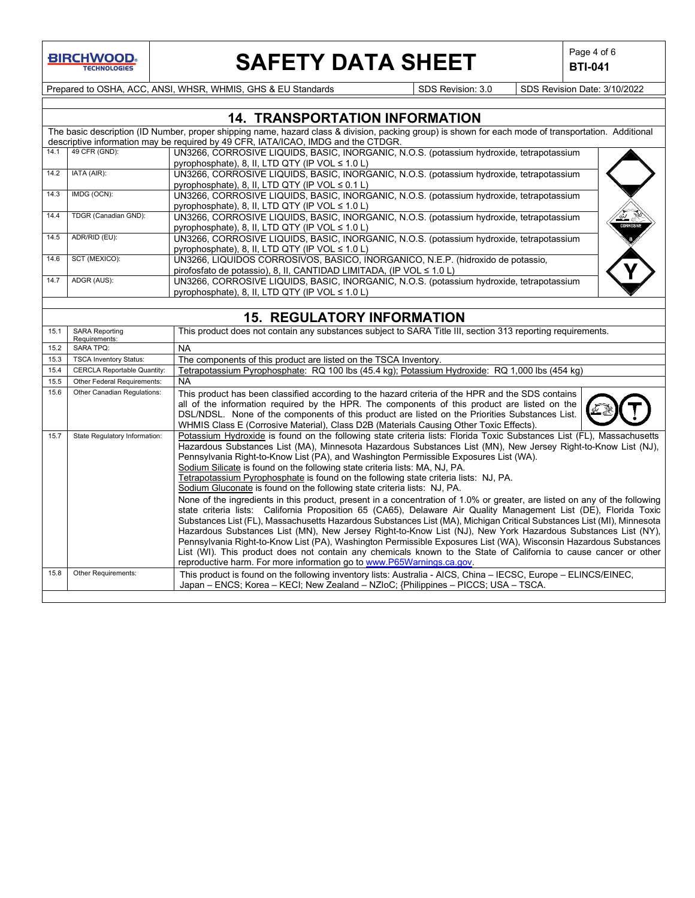

# **SAFETY DATA SHEET**  $\left|\begin{array}{c} \text{Page 4 of 6} \\ \text{BTI-041} \end{array}\right|$

**BTI-041**

Prepared to OSHA, ACC, ANSI, WHSR, WHMIS, GHS & EU Standards Superinted SDS Revision: 3.0 SDS Revision Date: 3/10/2022

|      |                      | <b>14. TRANSPORTATION INFORMATION</b>                                                                                                                |           |
|------|----------------------|------------------------------------------------------------------------------------------------------------------------------------------------------|-----------|
|      |                      | The basic description (ID Number, proper shipping name, hazard class & division, packing group) is shown for each mode of transportation. Additional |           |
|      |                      | descriptive information may be required by 49 CFR, IATA/ICAO, IMDG and the CTDGR.                                                                    |           |
| 14.1 | 49 CFR (GND):        | UN3266, CORROSIVE LIQUIDS, BASIC, INORGANIC, N.O.S. (potassium hydroxide, tetrapotassium                                                             |           |
|      |                      | pyrophosphate), 8, II, LTD QTY (IP VOL ≤ 1.0 L)                                                                                                      |           |
| 14.2 | IATA (AIR):          | UN3266, CORROSIVE LIQUIDS, BASIC, INORGANIC, N.O.S. (potassium hydroxide, tetrapotassium                                                             |           |
|      |                      | pyrophosphate), 8, II, LTD QTY (IP VOL $\leq 0.1$ L)                                                                                                 |           |
| 14.3 | IMDG (OCN):          | UN3266, CORROSIVE LIQUIDS, BASIC, INORGANIC, N.O.S. (potassium hydroxide, tetrapotassium                                                             |           |
|      |                      | pyrophosphate), 8, II, LTD QTY (IP VOL ≤ 1.0 L)                                                                                                      |           |
| 14.4 | TDGR (Canadian GND): | UN3266, CORROSIVE LIQUIDS, BASIC, INORGANIC, N.O.S. (potassium hydroxide, tetrapotassium                                                             |           |
|      |                      | pyrophosphate), 8, II, LTD QTY (IP VOL ≤ 1.0 L)                                                                                                      | CORROSIVI |
| 14.5 | ADR/RID (EU):        | UN3266, CORROSIVE LIQUIDS, BASIC, INORGANIC, N.O.S. (potassium hydroxide, tetrapotassium                                                             |           |
|      |                      | pyrophosphate), 8, II, LTD QTY (IP VOL $\leq 1.0$ L)                                                                                                 |           |
| 14.6 | SCT (MEXICO):        | UN3266, LIQUIDOS CORROSIVOS, BASICO, INORGANICO, N.E.P. (hidroxido de potassio,                                                                      |           |
|      |                      | pirofosfato de potassio), 8, II, CANTIDAD LIMITADA, (IP VOL ≤ 1.0 L)                                                                                 |           |
| 14.7 | ADGR (AUS):          | UN3266, CORROSIVE LIQUIDS, BASIC, INORGANIC, N.O.S. (potassium hydroxide, tetrapotassium                                                             |           |
|      |                      | pyrophosphate), 8, II, LTD QTY (IP VOL ≤ 1.0 L)                                                                                                      |           |

### **15. REGULATORY INFORMATION**

| 15.1 | <b>SARA Reporting</b><br>Requirements: | This product does not contain any substances subject to SARA Title III, section 313 reporting requirements.                                                                                                                                                                                                                                                                                                                                                                                                                                                                                                                                                                                                                                                                                                                                                                                                                                                                                                                                                                                                                                                                                                                                                                                                                                                                                   |
|------|----------------------------------------|-----------------------------------------------------------------------------------------------------------------------------------------------------------------------------------------------------------------------------------------------------------------------------------------------------------------------------------------------------------------------------------------------------------------------------------------------------------------------------------------------------------------------------------------------------------------------------------------------------------------------------------------------------------------------------------------------------------------------------------------------------------------------------------------------------------------------------------------------------------------------------------------------------------------------------------------------------------------------------------------------------------------------------------------------------------------------------------------------------------------------------------------------------------------------------------------------------------------------------------------------------------------------------------------------------------------------------------------------------------------------------------------------|
| 15.2 | <b>SARA TPQ:</b>                       | <b>NA</b>                                                                                                                                                                                                                                                                                                                                                                                                                                                                                                                                                                                                                                                                                                                                                                                                                                                                                                                                                                                                                                                                                                                                                                                                                                                                                                                                                                                     |
| 15.3 | <b>TSCA Inventory Status:</b>          | The components of this product are listed on the TSCA Inventory.                                                                                                                                                                                                                                                                                                                                                                                                                                                                                                                                                                                                                                                                                                                                                                                                                                                                                                                                                                                                                                                                                                                                                                                                                                                                                                                              |
| 15.4 | <b>CERCLA Reportable Quantity:</b>     | Tetrapotassium Pyrophosphate: RQ 100 lbs (45.4 kg); Potassium Hydroxide: RQ 1,000 lbs (454 kg)                                                                                                                                                                                                                                                                                                                                                                                                                                                                                                                                                                                                                                                                                                                                                                                                                                                                                                                                                                                                                                                                                                                                                                                                                                                                                                |
| 15.5 | Other Federal Requirements:            | <b>NA</b>                                                                                                                                                                                                                                                                                                                                                                                                                                                                                                                                                                                                                                                                                                                                                                                                                                                                                                                                                                                                                                                                                                                                                                                                                                                                                                                                                                                     |
| 15.6 | Other Canadian Regulations:            | This product has been classified according to the hazard criteria of the HPR and the SDS contains<br>all of the information required by the HPR. The components of this product are listed on the<br>DSL/NDSL. None of the components of this product are listed on the Priorities Substances List.<br>WHMIS Class E (Corrosive Material), Class D2B (Materials Causing Other Toxic Effects).                                                                                                                                                                                                                                                                                                                                                                                                                                                                                                                                                                                                                                                                                                                                                                                                                                                                                                                                                                                                 |
| 15.7 | State Regulatory Information:          | Potassium Hydroxide is found on the following state criteria lists: Florida Toxic Substances List (FL), Massachusetts<br>Hazardous Substances List (MA), Minnesota Hazardous Substances List (MN), New Jersey Right-to-Know List (NJ),<br>Pennsylvania Right-to-Know List (PA), and Washington Permissible Exposures List (WA).<br>Sodium Silicate is found on the following state criteria lists: MA, NJ, PA.<br>Tetrapotassium Pyrophosphate is found on the following state criteria lists: NJ, PA.<br>Sodium Gluconate is found on the following state criteria lists: NJ, PA.<br>None of the ingredients in this product, present in a concentration of 1.0% or greater, are listed on any of the following<br>state criteria lists: California Proposition 65 (CA65), Delaware Air Quality Management List (DE), Florida Toxic<br>Substances List (FL), Massachusetts Hazardous Substances List (MA), Michigan Critical Substances List (MI), Minnesota<br>Hazardous Substances List (MN), New Jersey Right-to-Know List (NJ), New York Hazardous Substances List (NY),<br>Pennsylvania Right-to-Know List (PA), Washington Permissible Exposures List (WA), Wisconsin Hazardous Substances<br>List (WI). This product does not contain any chemicals known to the State of California to cause cancer or other<br>reproductive harm. For more information go to www.P65Warnings.ca.gov |
| 15.8 | Other Requirements:                    | This product is found on the following inventory lists: Australia - AICS, China – IECSC, Europe – ELINCS/EINEC,<br>Japan – ENCS; Korea – KECI; New Zealand – NZIoC; {Philippines – PICCS; USA – TSCA.                                                                                                                                                                                                                                                                                                                                                                                                                                                                                                                                                                                                                                                                                                                                                                                                                                                                                                                                                                                                                                                                                                                                                                                         |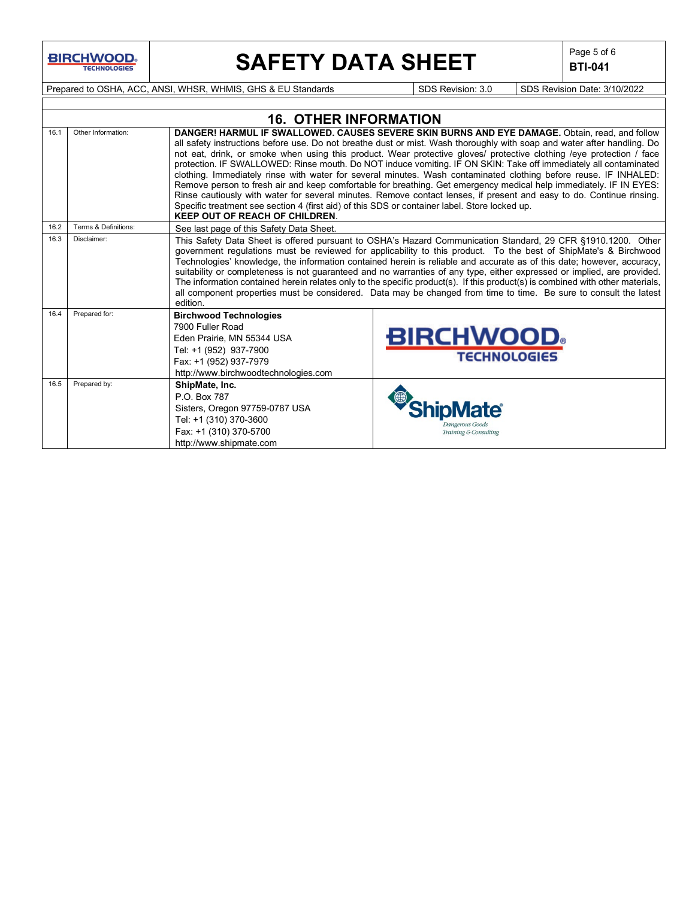**BIRCHWOOD** 

# **SAFETY DATA SHEET**  $\left|\begin{array}{c} \text{Page 5 of 6} \\ \text{BIT-041} \end{array}\right|$

**BTI-041**

Prepared to OSHA, ACC, ANSI, WHSR, WHMIS, GHS & EU Standards Superinted SDS Revision: 3.0 SDS Revision Date: 3/10/2022

|      | <b>16. OTHER INFORMATION</b> |                                                                                                                                                                                                                                                                                                                                                                                                                                                                                                                                                                                                                                                                                                                                                                                                                                                                                                                                                                                   |                                                                                                                                                                                                                                                                                                                                                                                                                                                                                                                                                                                                                                                                                                                                              |  |  |
|------|------------------------------|-----------------------------------------------------------------------------------------------------------------------------------------------------------------------------------------------------------------------------------------------------------------------------------------------------------------------------------------------------------------------------------------------------------------------------------------------------------------------------------------------------------------------------------------------------------------------------------------------------------------------------------------------------------------------------------------------------------------------------------------------------------------------------------------------------------------------------------------------------------------------------------------------------------------------------------------------------------------------------------|----------------------------------------------------------------------------------------------------------------------------------------------------------------------------------------------------------------------------------------------------------------------------------------------------------------------------------------------------------------------------------------------------------------------------------------------------------------------------------------------------------------------------------------------------------------------------------------------------------------------------------------------------------------------------------------------------------------------------------------------|--|--|
| 16.1 | Other Information:           | DANGER! HARMUL IF SWALLOWED. CAUSES SEVERE SKIN BURNS AND EYE DAMAGE. Obtain, read, and follow<br>all safety instructions before use. Do not breathe dust or mist. Wash thoroughly with soap and water after handling. Do<br>not eat, drink, or smoke when using this product. Wear protective gloves/ protective clothing /eye protection / face<br>protection. IF SWALLOWED: Rinse mouth. Do NOT induce vomiting. IF ON SKIN: Take off immediately all contaminated<br>clothing. Immediately rinse with water for several minutes. Wash contaminated clothing before reuse. IF INHALED:<br>Remove person to fresh air and keep comfortable for breathing. Get emergency medical help immediately. IF IN EYES:<br>Rinse cautiously with water for several minutes. Remove contact lenses, if present and easy to do. Continue rinsing.<br>Specific treatment see section 4 (first aid) of this SDS or container label. Store locked up.<br><b>KEEP OUT OF REACH OF CHILDREN.</b> |                                                                                                                                                                                                                                                                                                                                                                                                                                                                                                                                                                                                                                                                                                                                              |  |  |
| 16.2 | Terms & Definitions:         | See last page of this Safety Data Sheet.                                                                                                                                                                                                                                                                                                                                                                                                                                                                                                                                                                                                                                                                                                                                                                                                                                                                                                                                          |                                                                                                                                                                                                                                                                                                                                                                                                                                                                                                                                                                                                                                                                                                                                              |  |  |
| 16.3 | Disclaimer:                  | edition.                                                                                                                                                                                                                                                                                                                                                                                                                                                                                                                                                                                                                                                                                                                                                                                                                                                                                                                                                                          | This Safety Data Sheet is offered pursuant to OSHA's Hazard Communication Standard, 29 CFR §1910.1200. Other<br>government regulations must be reviewed for applicability to this product. To the best of ShipMate's & Birchwood<br>Technologies' knowledge, the information contained herein is reliable and accurate as of this date; however, accuracy,<br>suitability or completeness is not guaranteed and no warranties of any type, either expressed or implied, are provided.<br>The information contained herein relates only to the specific product(s). If this product(s) is combined with other materials,<br>all component properties must be considered. Data may be changed from time to time. Be sure to consult the latest |  |  |
| 16.4 | Prepared for:                | <b>Birchwood Technologies</b><br>7900 Fuller Road<br>Eden Prairie, MN 55344 USA<br>Tel: +1 (952) 937-7900<br>Fax: +1 (952) 937-7979<br>http://www.birchwoodtechnologies.com                                                                                                                                                                                                                                                                                                                                                                                                                                                                                                                                                                                                                                                                                                                                                                                                       | <b>BIRCHWOOD</b><br><b>TECHNOLOGIES</b>                                                                                                                                                                                                                                                                                                                                                                                                                                                                                                                                                                                                                                                                                                      |  |  |
| 16.5 | Prepared by:                 | ShipMate, Inc.<br>P.O. Box 787<br>Sisters, Oregon 97759-0787 USA<br>Tel: +1 (310) 370-3600<br>Fax: +1 (310) 370-5700<br>http://www.shipmate.com                                                                                                                                                                                                                                                                                                                                                                                                                                                                                                                                                                                                                                                                                                                                                                                                                                   | <b>Jangerous Goods</b><br>Training & Consulting                                                                                                                                                                                                                                                                                                                                                                                                                                                                                                                                                                                                                                                                                              |  |  |